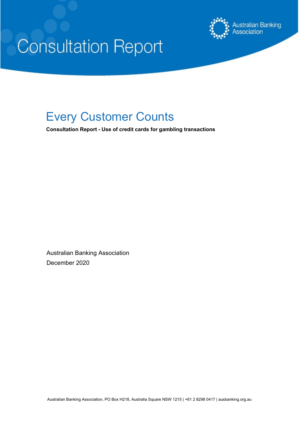

# **Consultation Report**

# Every Customer Counts

**Consultation Report - Use of credit cards for gambling transactions**

Australian Banking Association December 2020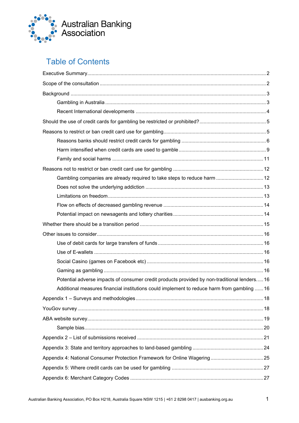

# Table of Contents

| Gambling companies are already required to take steps to reduce harm  12                     |  |
|----------------------------------------------------------------------------------------------|--|
|                                                                                              |  |
|                                                                                              |  |
|                                                                                              |  |
|                                                                                              |  |
|                                                                                              |  |
|                                                                                              |  |
|                                                                                              |  |
|                                                                                              |  |
|                                                                                              |  |
|                                                                                              |  |
| Potential adverse impacts of consumer credit products provided by non-traditional lenders 16 |  |
| Additional measures financial institutions could implement to reduce harm from gambling  16  |  |
|                                                                                              |  |
|                                                                                              |  |
|                                                                                              |  |
|                                                                                              |  |
|                                                                                              |  |
|                                                                                              |  |
|                                                                                              |  |
|                                                                                              |  |
|                                                                                              |  |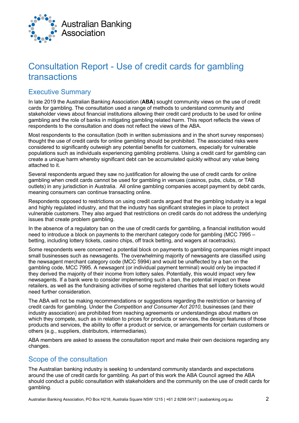

# Consultation Report - Use of credit cards for gambling transactions

# <span id="page-2-0"></span>Executive Summary

In late 2019 the Australian Banking Association (**ABA**) sought community views on the use of credit cards for gambling. The consultation used a range of methods to understand community and stakeholder views about financial institutions allowing their credit card products to be used for online gambling and the role of banks in mitigating gambling related harm. This report reflects the views of respondents to the consultation and does not reflect the views of the ABA.

Most respondents to the consultation (both in written submissions and in the short survey responses) thought the use of credit cards for online gambling should be prohibited. The associated risks were considered to significantly outweigh any potential benefits for customers, especially for vulnerable populations such as individuals experiencing gambling problems. Using a credit card for gambling can create a unique harm whereby significant debt can be accumulated quickly without any value being attached to it.

Several respondents argued they saw no justification for allowing the use of credit cards for online gambling when credit cards cannot be used for gambling in venues (casinos, pubs, clubs, or TAB outlets) in any jurisdiction in Australia. All online gambling companies accept payment by debit cards, meaning consumers can continue transacting online.

Respondents opposed to restrictions on using credit cards argued that the gambling industry is a legal and highly regulated industry, and that the industry has significant strategies in place to protect vulnerable customers. They also argued that restrictions on credit cards do not address the underlying issues that create problem gambling.

In the absence of a regulatory ban on the use of credit cards for gambling, a financial institution would need to introduce a block on payments to the merchant category code for gambling (MCC 7995 – betting, including lottery tickets, casino chips, off track betting, and wagers at racetracks).

Some respondents were concerned a potential block on payments to gambling companies might impact small businesses such as newsagents. The overwhelming majority of newsagents are classified using the newsagent merchant category code (MCC 5994) and would be unaffected by a ban on the gambling code, MCC 7995. A newsagent (or individual payment terminal) would only be impacted if they derived the majority of their income from lottery sales. Potentially, this would impact very few newsagents. If a bank were to consider implementing such a ban, the potential impact on these retailers, as well as the fundraising activities of some registered charities that sell lottery tickets would need further consideration.

The ABA will not be making recommendations or suggestions regarding the restriction or banning of credit cards for gambling. Under the *Competition and Consumer Act 2010*, businesses (and their industry association) are prohibited from reaching agreements or understandings about matters on which they compete, such as in relation to prices for products or services, the design features of those products and services, the ability to offer a product or service, or arrangements for certain customers or others (e.g., suppliers, distributors, intermediaries).

ABA members are asked to assess the consultation report and make their own decisions regarding any changes.

# <span id="page-2-1"></span>Scope of the consultation

The Australian banking industry is seeking to understand community standards and expectations around the use of credit cards for gambling. As part of this work the ABA Council agreed the ABA should conduct a public consultation with stakeholders and the community on the use of credit cards for gambling.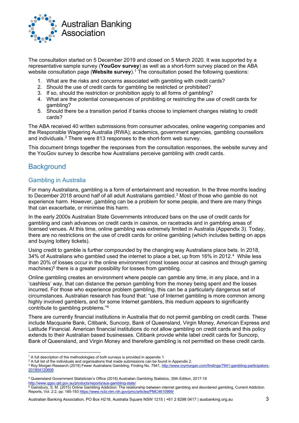

The consultation started on 5 December 2019 and closed on 5 March 2020. It was supported by a representative sample survey (**YouGov survey**) as well as a short-form survey placed on the ABA website consultation page (**Website survey**).[1](#page-3-2) The consultation posed the following questions:

- 1. What are the risks and concerns associated with gambling with credit cards?
- 2. Should the use of credit cards for gambling be restricted or prohibited?
- 3. If so, should the restriction or prohibition apply to all forms of gambling?
- 4. What are the potential consequences of prohibiting or restricting the use of credit cards for gambling?
- 5. Should there be a transition period if banks choose to implement changes relating to credit cards?

The ABA received 40 written submissions from consumer advocates, online wagering companies and the Responsible Wagering Australia (RWA); academics, government agencies, gambling counsellors and individuals[.2](#page-3-3) There were 813 responses to the short-form web survey.

This document brings together the responses from the consultation responses, the website survey and the YouGov survey to describe how Australians perceive gambling with credit cards.

## <span id="page-3-0"></span>**Background**

#### <span id="page-3-1"></span>Gambling in Australia

For many Australians, gambling is a form of entertainment and recreation. In the three months leading to December 2018 around half of all adult Australians gambled.<sup>[3](#page-3-4)</sup> Most of those who gamble do not experience harm. However, gambling can be a problem for some people, and there are many things that can exacerbate, or minimise this harm.

In the early 2000s Australian State Governments introduced bans on the use of credit cards for gambling and cash advances on credit cards in casinos, on racetracks and in gambling areas of licensed venues. At this time, online gambling was extremely limited in Australia (Appendix 3). Today, there are no restrictions on the use of credit cards for online gambling (which includes betting on apps and buying lottery tickets).

Using credit to gamble is further compounded by the changing way Australians place bets. In 2018, 34% of Australians who gambled used the internet to place a bet, up from 16% in 2012.[4](#page-3-5) While less than 20% of losses occur in the online environment (most losses occur at casinos and through gaming machines)<sup>[5](#page-3-6)</sup> there is a greater possibility for losses from gambling.

Online gambling creates an environment where people can gamble any time, in any place, and in a 'cashless' way, that can distance the person gambling from the money being spent and the losses incurred. For those who experience problem gambling, this can be a particularly dangerous set of circumstances. Australian research has found that: "use of Internet gambling is more common among highly involved gamblers, and for some Internet gamblers, this medium appears to significantly contribute to gambling problems."[6](#page-3-7)

There are currently financial institutions in Australia that do not permit gambling on credit cards. These include Macquarie Bank, Citibank, Suncorp, Bank of Queensland, Virgin Money, American Express and Latitude Financial. American financial institutions do not allow gambling on credit cards and this policy extends to their Australian based businesses. Citibank provide white label credit cards for Suncorp, Bank of Queensland, and Virgin Money and therefore gambling is not permitted on these credit cards.

<sup>&</sup>lt;sup>1</sup> A full description of the methodologies of both surveys is provided in appendix 1.

<span id="page-3-3"></span><span id="page-3-2"></span><sup>&</sup>lt;sup>2</sup> A full list of the individuals and organisations that made submissions can be found in Appendix 2.

<span id="page-3-4"></span><sup>3</sup> Roy Morgan Research (2019) Fewer Australians Gambling, Finding No. 7941, [http://www.roymorgan.com/findings/7941-gambling-participators-](http://www.roymorgan.com/findings/7941-gambling-participators-201904120606)[201904120606](http://www.roymorgan.com/findings/7941-gambling-participators-201904120606)

<span id="page-3-6"></span><span id="page-3-5"></span><sup>5</sup> Queensland Government Statistician's Office (2018) Australian Gambling Statistics, 35th Edition, 2017-18 <http://www.qgso.qld.gov.au/products/reports/aus-gambling-stats/>

<span id="page-3-7"></span> $^6$  Gainsbury, S. M. (2015) Online Gambling Addiction: The relationship between internet gambling and disordered gambling, Current Addiction Reports, Vol. 2:2, pp: 185-193<https://www.ncbi.nlm.nih.gov/pmc/articles/PMC4610999/>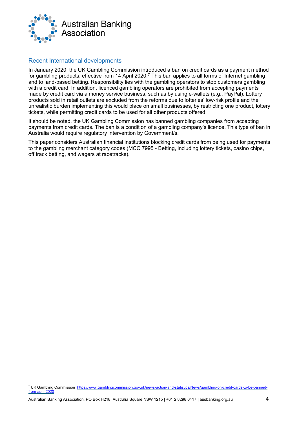

#### <span id="page-4-0"></span>Recent International developments

In January 2020, the UK Gambling Commission introduced a ban on credit cards as a payment method for gambling products, effective from 14 April 2020.<sup>[7](#page-4-1)</sup> This ban applies to all forms of Internet gambling and to land-based betting. Responsibility lies with the gambling operators to stop customers gambling with a credit card. In addition, licenced gambling operators are prohibited from accepting payments made by credit card via a money service business, such as by using e-wallets (e.g., PayPal). Lottery products sold in retail outlets are excluded from the reforms due to lotteries' low-risk profile and the unrealistic burden implementing this would place on small businesses, by restricting one product, lottery tickets, while permitting credit cards to be used for all other products offered.

It should be noted, the UK Gambling Commission has banned gambling companies from accepting payments from credit cards. The ban is a condition of a gambling company's licence. This type of ban in Australia would require regulatory intervention by Government/s.

This paper considers Australian financial institutions blocking credit cards from being used for payments to the gambling merchant category codes (MCC 7995 - Betting, including lottery tickets, casino chips, off track betting, and wagers at racetracks).

<span id="page-4-1"></span><sup>7</sup> UK Gambling Commission [https://www.gamblingcommission.gov.uk/news-action-and-statistics/News/gambling-on-credit-cards-to-be-banned](https://www.gamblingcommission.gov.uk/news-action-and-statistics/News/gambling-on-credit-cards-to-be-banned-from-april-2020)from-april-202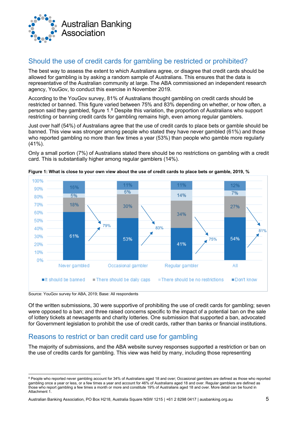

# <span id="page-5-0"></span>Should the use of credit cards for gambling be restricted or prohibited?

The best way to assess the extent to which Australians agree, or disagree that credit cards should be allowed for gambling is by asking a random sample of Australians. This ensures that the data is representative of the Australian community at large. The ABA commissioned an independent research agency, YouGov, to conduct this exercise in November 2019.

According to the YouGov survey, 81% of Australians thought gambling on credit cards should be restricted or banned. This figure varied between 75% and 83% depending on whether, or how often, a person said they gambled, figure 1. $^8$  $^8$  Despite this variation, the proportion of Australians who support restricting or banning credit cards for gambling remains high, even among regular gamblers.

Just over half (54%) of Australians agree that the use of credit cards to place bets or gamble should be banned. This view was stronger among people who stated they have never gambled (61%) and those who reported gambling no more than few times a year (53%) than people who gamble more regularly (41%).

Only a small portion (7%) of Australians stated there should be no restrictions on gambling with a credit card. This is substantially higher among regular gamblers (14%).



**Figure 1: What is close to your own view about the use of credit cards to place bets or gamble, 2019, %**

Source: YouGov survey for ABA, 2019; Base: All respondents

Of the written submissions, 30 were supportive of prohibiting the use of credit cards for gambling; seven were opposed to a ban; and three raised concerns specific to the impact of a potential ban on the sale of lottery tickets at newsagents and charity lotteries. One submission that supported a ban, advocated for Government legislation to prohibit the use of credit cards, rather than banks or financial institutions.

# <span id="page-5-1"></span>Reasons to restrict or ban credit card use for gambling

The majority of submissions, and the ABA website survey responses supported a restriction or ban on the use of credits cards for gambling. This view was held by many, including those representing

<span id="page-5-2"></span><sup>8</sup> People who reported never gambling account for 34% of Australians aged 18 and over; Occasional gamblers are defined as those who reported gambling once a year or less, or a few times a year and account for 46% of Australians aged 18 and over. Regular gamblers are defined as those who report gambling a few times a month or more and constitute 19% of Australians aged 18 and over. More detail can be found in Attachment 1.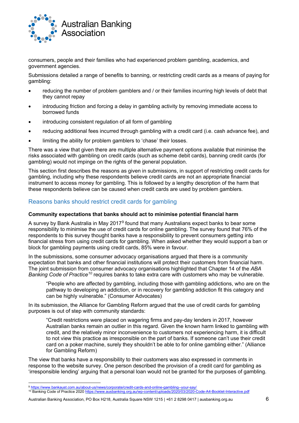

consumers, people and their families who had experienced problem gambling, academics, and government agencies.

Submissions detailed a range of benefits to banning, or restricting credit cards as a means of paying for gambling:

- reducing the number of problem gamblers and / or their families incurring high levels of debt that they cannot repay
- introducing friction and forcing a delay in gambling activity by removing immediate access to borrowed funds
- introducing consistent regulation of all form of gambling
- reducing additional fees incurred through gambling with a credit card (i.e. cash advance fee), and
- limiting the ability for problem gamblers to 'chase' their losses.

There was a view that given there are multiple alternative payment options available that minimise the risks associated with gambling on credit cards (such as scheme debit cards), banning credit cards (for gambling) would not impinge on the rights of the general population.

This section first describes the reasons as given in submissions, in support of restricting credit cards for gambling, including why these respondents believe credit cards are not an appropriate financial instrument to access money for gambling. This is followed by a lengthy description of the harm that these respondents believe can be caused when credit cards are used by problem gamblers.

#### <span id="page-6-0"></span>Reasons banks should restrict credit cards for gambling

#### **Community expectations that banks should act to minimise potential financial harm**

A survey by Bank Australia in May 2017[9](#page-6-1) found that many Australians expect banks to bear some responsibility to minimise the use of credit cards for online gambling. The survey found that 76% of the respondents to this survey thought banks have a responsibility to prevent consumers getting into financial stress from using credit cards for gambling. When asked whether they would support a ban or block for gambling payments using credit cards, 85% were in favour.

In the submissions, some consumer advocacy organisations argued that there is a community expectation that banks and other financial institutions will protect their customers from financial harm. The joint submission from consumer advocacy organisations highlighted that Chapter 14 of the *ABA Banking Code of Practice[10](#page-6-2)* requires banks to take extra care with customers who may be vulnerable.

"People who are affected by gambling, including those with gambling addictions, who are on the pathway to developing an addiction, or in recovery for gambling addiction fit this category and can be highly vulnerable." (Consumer Advocates)

In its submission, the Alliance for Gambling Reform argued that the use of credit cards for gambling purposes is out of step with community standards:

"Credit restrictions were placed on wagering firms and pay-day lenders in 2017, however Australian banks remain an outlier in this regard. Given the known harm linked to gambling with credit, and the relatively minor inconvenience to customers not experiencing harm, it is difficult to not view this practice as irresponsible on the part of banks. If someone can't use their credit card on a poker machine, surely they shouldn't be able to for online gambling either." (Alliance for Gambling Reform)

The view that banks have a responsibility to their customers was also expressed in comments in response to the website survey. One person described the provision of a credit card for gambling as 'irresponsible lending' arguing that a personal loan would not be granted for the purposes of gambling.

<span id="page-6-2"></span><sup>10</sup> Banking Code of Practice 2020<https://www.ausbanking.org.au/wp-content/uploads/2020/03/2020-Code-A4-Booklet-Interactive.pdf>

<span id="page-6-1"></span><sup>9</sup> <https://www.bankaust.com.au/about-us/news/corporate/credit-cards-and-online-gambling--your-say/>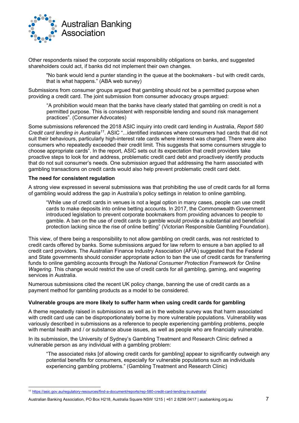

Other respondents raised the corporate social responsibility obligations on banks, and suggested shareholders could act, if banks did not implement their own changes.

"No bank would lend a punter standing in the queue at the bookmakers - but with credit cards, that is what happens." (ABA web survey)

Submissions from consumer groups argued that gambling should not be a permitted purpose when providing a credit card. The joint submission from consumer advocacy groups argued:

"A prohibition would mean that the banks have clearly stated that gambling on credit is not a permitted purpose. This is consistent with responsible lending and sound risk management practices". (Consumer Advocates)

Some submissions referenced the 2018 ASIC inquiry into credit card lending in Australia, *Report 580 Credit card lending in Australia[11](#page-7-0)*. ASIC "...identified instances where consumers had cards that did not suit their behaviours, particularly high-interest rate cards where interest was charged. There were also consumers who repeatedly exceeded their credit limit. This suggests that some consumers struggle to choose appropriate cards". In the report, ASIC sets out its expectation that credit providers take proactive steps to look for and address, problematic credit card debt and proactively identify products that do not suit consumer's needs. One submission argued that addressing the harm associated with gambling transactions on credit cards would also help prevent problematic credit card debt.

#### **The need for consistent regulation**

A strong view expressed in several submissions was that prohibiting the use of credit cards for all forms of gambling would address the gap in Australia's policy settings in relation to online gambling.

"While use of credit cards in venues is not a legal option in many cases, people can use credit cards to make deposits into online betting accounts. In 2017, the Commonwealth Government introduced legislation to prevent corporate bookmakers from providing advances to people to gamble. A ban on the use of credit cards to gamble would provide a substantial and beneficial protection lacking since the rise of online betting" (Victorian Responsible Gambling Foundation).

This view, of there being a responsibility to not allow gambling on credit cards, was not restricted to credit cards offered by banks. Some submissions argued for law reform to ensure a ban applied to all credit card providers. The Australian Finance Industry Association (AFIA) suggested that the Federal and State governments should consider appropriate action to ban the use of credit cards for transferring funds to online gambling accounts through the *National Consumer Protection Framework for Online Wagering*. This change would restrict the use of credit cards for all gambling, gaming, and wagering services in Australia.

Numerous submissions cited the recent UK policy change, banning the use of credit cards as a payment method for gambling products as a model to be considered.

#### **Vulnerable groups are more likely to suffer harm when using credit cards for gambling**

A theme repeatedly raised in submissions as well as in the website survey was that harm associated with credit card use can be disproportionately borne by more vulnerable populations. Vulnerability was variously described in submissions as a reference to people experiencing gambling problems, people with mental health and / or substance abuse issues, as well as people who are financially vulnerable.

In its submission, the University of Sydney's Gambling Treatment and Research Clinic defined a vulnerable person as any individual with a gambling problem:

"The associated risks [of allowing credit cards for gambling] appear to significantly outweigh any potential benefits for consumers, especially for vulnerable populations such as individuals experiencing gambling problems." (Gambling Treatment and Research Clinic)

<span id="page-7-0"></span><sup>11</sup> <https://asic.gov.au/regulatory-resources/find-a-document/reports/rep-580-credit-card-lending-in-australia/>

Australian Banking Association, PO Box H218, Australia Square NSW 1215 | +61 2 8298 0417 | ausbanking.org.au 7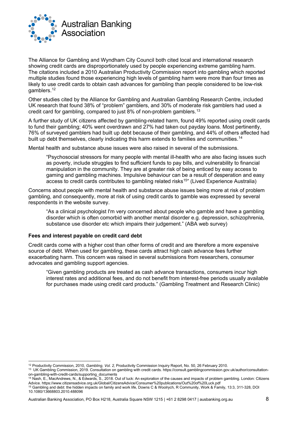

The Alliance for Gambling and Wyndham City Council both cited local and international research showing credit cards are disproportionately used by people experiencing extreme gambling harm. The citations included a 2010 Australian Productivity Commission report into gambling which reported multiple studies found those experiencing high levels of gambling harm were more than four times as likely to use credit cards to obtain cash advances for gambling than people considered to be low-risk gamblers. [12](#page-8-0)

Other studies cited by the Alliance for Gambling and Australian Gambling Research Centre, included UK research that found 38% of "problem" gamblers, and 30% of moderate risk gamblers had used a credit card for gambling, compared to just 8% of non-problem gamblers. [13](#page-8-1)

A further study of UK citizens affected by gambling-related harm, found 49% reported using credit cards to fund their gambling; 40% went overdrawn and 27% had taken out payday loans. Most pertinently, 76% of surveyed gamblers had built up debt because of their gambling, and 44% of others affected had built up debt themselves, clearly indicating this harm extends to families and communities.<sup>[14](#page-8-2)</sup>

Mental health and substance abuse issues were also raised in several of the submissions.

"Psychosocial stressors for many people with mental ill-health who are also facing issues such as poverty, include struggles to find sufficient funds to pay bills, and vulnerability to financial manipulation in the community. They are at greater risk of being enticed by easy access to gaming and gambling machines. Impulsive behaviour can be a result of desperation and easy access to credit cards contributes to gambling related risks<sup>15</sup>" (Lived Experience Australia)

Concerns about people with mental health and substance abuse issues being more at risk of problem gambling, and consequently, more at risk of using credit cards to gamble was expressed by several respondents in the website survey.

"As a clinical psychologist I'm very concerned about people who gamble and have a gambling disorder which is often comorbid with another mental disorder e.g. depression, schizophrenia, substance use disorder etc which impairs their judgement." (ABA web survey)

#### **Fees and interest payable on credit card debt**

Credit cards come with a higher cost than other forms of credit and are therefore a more expensive source of debt. When used for gambling, these cards attract high cash advance fees further exacerbating harm. This concern was raised in several submissions from researchers, consumer advocates and gambling support agencies.

"Given gambling products are treated as cash advance transactions, consumers incur high interest rates and additional fees, and do not benefit from interest-free periods usually available for purchases made using credit card products." (Gambling Treatment and Research Clinic)

<span id="page-8-0"></span><sup>12</sup> Productivity Commission, 2010, *Gambling*, *Vol. 2,* Productivity Commission Inquiry Report, No. 50, 26 February 2010.

<span id="page-8-1"></span><sup>13</sup> UK Gambling Commission, 2019. Consultation on gambling with credit cards. https://consult.gamblingcommission.gov.uk/author/consultationon-gambling-with-credit-cards/supporting\_documents

<span id="page-8-2"></span><sup>14</sup> Nash, E., MacAndrews, N., & Edwards, S., 2018. Out of luck: An exploration of the causes and impacts of problem gambling. London: Citizens Advice. https://www.citizensadvice.org.uk/Global/CitizensAdvice/Consumer%20publications/Out%20of%20Luck.pdf

<span id="page-8-3"></span><sup>15</sup> Gambling and debt: the hidden impacts on family and work life, Downs C & Woolrych, R Community, Work & Family, 13:3, 311-328, DOI 10.1080/13668803.2010.488096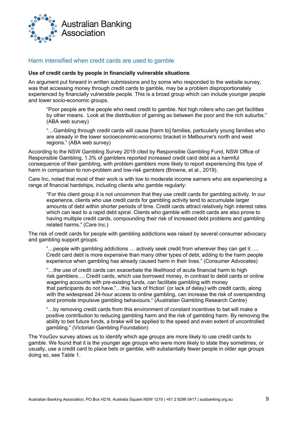

#### <span id="page-9-0"></span>Harm intensified when credit cards are used to gamble

#### **Use of credit cards by people in financially vulnerable situations**

An argument put forward in written submissions and by some who responded to the website survey, was that accessing money through credit cards to gamble, may be a problem disproportionately experienced by financially vulnerable people. This is a broad group which can include younger people and lower socio-economic groups.

"Poor people are the people who need credit to gamble. Not high rollers who can get facilities by other means. Look at the distribution of gaming as between the poor and the rich suburbs." (ABA web survey)

"…Gambling through credit cards will cause [harm to] families, particularly young families who are already in the lower socioeconomic-economic bracket in Melbourne's north and west regions." (ABA web survey)

According to the NSW Gambling Survey 2019 cited by Responsible Gambling Fund, NSW Office of Responsible Gambling, 1.3% of gamblers reported increased credit card debt as a harmful consequence of their gambling, with problem gamblers more likely to report experiencing this type of harm in comparison to non-problem and low-risk gamblers (Browne, et al., 2019).

Care Inc, noted that most of their work is with low to moderate income earners who are experiencing a range of financial hardships, including clients who gamble regularly:

"For this client group it is not uncommon that they use credit cards for gambling activity. In our experience, clients who use credit cards for gambling activity tend to accumulate larger amounts of debt within shorter periods of time. Credit cards attract relatively high interest rates which can lead to a rapid debt spiral. Clients who gamble with credit cards are also prone to having multiple credit cards, compounding their risk of increased debt problems and gambling related harms." (Care Inc.)

The risk of credit cards for people with gambling addictions was raised by several consumer advocacy and gambling support groups.

"…people with gambling addictions … actively seek credit from wherever they can get it …. Credit card debt is more expensive than many other types of debt, adding to the harm people experience when gambling has already caused harm in their lives." (Consumer Advocates)

"…the use of credit cards can exacerbate the likelihood of acute financial harm to high risk gamblers…. Credit cards, which use borrowed money, in contrast to debit cards or online wagering accounts with pre-existing funds, can facilitate gambling with money that participants do not have."…this 'lack of friction' (or lack of delay) with credit cards, along with the widespread 24-hour access to online gambling, can increase the risk of overspending and promote impulsive gambling behaviours." (Australian Gambling Research Centre)

"…by removing credit cards from this environment of constant incentives to bet will make a positive contribution to reducing gambling harm and the risk of gambling harm. By removing the ability to bet future funds, a brake will be applied to the speed and even extent of uncontrolled gambling." (Victorian Gambling Foundation)

The YouGov survey allows us to identify which age groups are more likely to use credit cards to gamble. We found that it is the younger age groups who were more likely to state they sometimes, or usually, use a credit card to place bets or gamble, with substantially fewer people in older age groups doing so, see Table 1.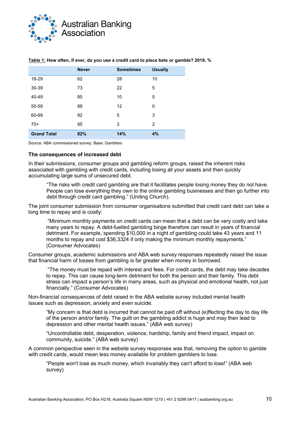

|                    | <b>Never</b> | <b>Sometimes</b> | <b>Usually</b> |
|--------------------|--------------|------------------|----------------|
| 18-29              | 62           | 28               | 10             |
| 30-39              | 73           | 22               | 5              |
| 40-49              | 85           | 10               | 5              |
| 50-59              | 88           | 12               | 0              |
| 60-69              | 92           | 5                | 3              |
| $70+$              | 95           | 3                | 2              |
| <b>Grand Total</b> | 82%          | 14%              | 4%             |

#### **Table 1: How often, if ever, do you use a credit card to place bets or gamble? 2019, %**

Source: ABA commissioned survey; Base: Gamblers

#### **The consequences of increased debt**

In their submissions, consumer groups and gambling reform groups, raised the inherent risks associated with gambling with credit cards, including losing all your assets and then quickly accumulating large sums of unsecured debt.

"The risks with credit card gambling are that it facilitates people losing money they do not have. People can lose everything they own to the online gambling businesses and then go further into debt through credit card gambling." (Uniting Church).

The joint consumer submission from consumer organisations submitted that credit card debt can take a long time to repay and is costly:

"Minimum monthly payments on credit cards can mean that a debt can be very costly and take many years to repay. A debt-fuelled gambling binge therefore can result in years of financial detriment. For example, spending \$10,000 in a night of gambling could take 43 years and 11 months to repay and cost \$36,3324 if only making the minimum monthly repayments." (Consumer Advocates)

Consumer groups, academic submissions and ABA web survey responses repeatedly raised the issue that financial harm of losses from gambling is far greater when money in borrowed.

"The money must be repaid with interest and fees. For credit cards, the debt may take decades to repay. This can cause long-term detriment for both the person and their family. This debt stress can impact a person's life in many areas, such as physical and emotional health, not just financially." (Consumer Advocates)

Non-financial consequences of debt raised in the ABA website survey included mental health issues such as depression, anxiety and even suicide.

"My concern is that debt is incurred that cannot be paid off without (e)ffecting the day to day life of the person and/or family. The guilt on the gambling addict is huge and may then lead to depression and other mental health issues." (ABA web survey)

"Uncontrollable debt, desperation, violence, hardship, family and friend impact, impact on community, suicide." (ABA web survey)

A common perspective seen in the website survey responses was that, removing the option to gamble with credit cards, would mean less money available for problem gamblers to lose.

"People won't lose as much money, which invariably they can't afford to lose!" (ABA web survey)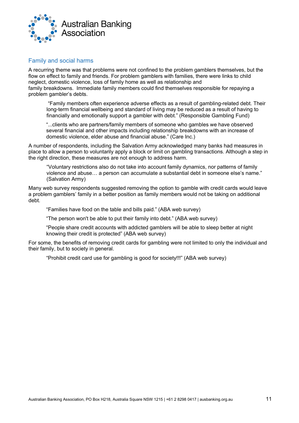

#### <span id="page-11-0"></span>Family and social harms

A recurring theme was that problems were not confined to the problem gamblers themselves, but the flow on effect to family and friends. For problem gamblers with families, there were links to child neglect, domestic violence, loss of family home as well as relationship and family breakdowns. Immediate family members could find themselves responsible for repaying a problem gambler's debts.

"Family members often experience adverse effects as a result of gambling-related debt. Their long-term financial wellbeing and standard of living may be reduced as a result of having to financially and emotionally support a gambler with debt." (Responsible Gambling Fund)

"...clients who are partners/family members of someone who gambles we have observed several financial and other impacts including relationship breakdowns with an increase of domestic violence, elder abuse and financial abuse." (Care Inc.)

A number of respondents, including the Salvation Army acknowledged many banks had measures in place to allow a person to voluntarily apply a block or limit on gambling transactions. Although a step in the right direction, these measures are not enough to address harm.

"Voluntary restrictions also do not take into account family dynamics, nor patterns of family violence and abuse… a person can accumulate a substantial debt in someone else's name." (Salvation Army)

Many web survey respondents suggested removing the option to gamble with credit cards would leave a problem gamblers' family in a better position as family members would not be taking on additional debt.

"Families have food on the table and bills paid." (ABA web survey)

"The person won't be able to put their family into debt." (ABA web survey)

"People share credit accounts with addicted gamblers will be able to sleep better at night knowing their credit is protected" (ABA web survey)

For some, the benefits of removing credit cards for gambling were not limited to only the individual and their family, but to society in general.

"Prohibit credit card use for gambling is good for society!!!" (ABA web survey)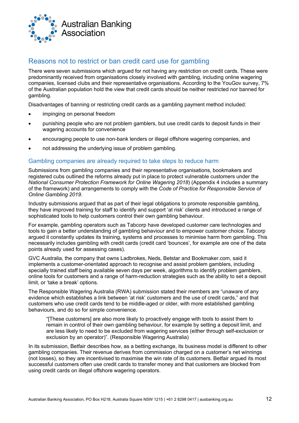

# <span id="page-12-0"></span>Reasons not to restrict or ban credit card use for gambling

There were seven submissions which argued for not having any restriction on credit cards. These were predominantly received from organisations closely involved with gambling, including online wagering companies, licensed clubs and their representative organisations. According to the YouGov survey, 7% of the Australian population hold the view that credit cards should be neither restricted nor banned for gambling.

Disadvantages of banning or restricting credit cards as a gambling payment method included:

- impinging on personal freedom
- punishing people who are not problem gamblers, but use credit cards to deposit funds in their wagering accounts for convenience
- encouraging people to use non-bank lenders or illegal offshore wagering companies, and
- not addressing the underlying issue of problem gambling.

#### <span id="page-12-1"></span>Gambling companies are already required to take steps to reduce harm

Submissions from gambling companies and their representative organisations, bookmakers and registered cubs outlined the reforms already put in place to protect vulnerable customers under the *National Consumer Protection Framework for Online Wagering 2018*) (Appendix 4 includes a summary of the framework) and arrangements to comply with the *Code of Practice for Responsible Service of Online Gambling 2019*.

Industry submissions argued that as part of their legal obligations to promote responsible gambling, they have improved training for staff to identify and support 'at risk' clients and introduced a range of sophisticated tools to help customers control their own gambling behaviour.

For example, gambling operators such as Tabcorp have developed customer care technologies and tools to gain a better understanding of gambling behaviour and to empower customer choice. Tabcorp argued it constantly updates its training, systems and processes to minimise harm from gambling. This necessarily includes gambling with credit cards (credit card 'bounces', for example are one of the data points already used for assessing cases).

GVC Australia, the company that owns Ladbrokes, Neds, Betstar and Bookmaker.com, said it implements a customer-orientated approach to recognise and assist problem gamblers, including specially trained staff being available seven days per week, algorithms to identify problem gamblers, online tools for customers and a range of harm-reduction strategies such as the ability to set a deposit limit, or 'take a break' options.

The Responsible Wagering Australia (RWA) submission stated their members are "unaware of any evidence which establishes a link between 'at risk' customers and the use of credit cards," and that customers who use credit cards tend to be middle-aged or older, with more established gambling behaviours, and do so for simple convenience.

"[These customers] are also more likely to proactively engage with tools to assist them to remain in control of their own gambling behaviour, for example by setting a deposit limit, and are less likely to need to be excluded from wagering services (either through self-exclusion or exclusion by an operator)". (Responsible Wagering Australia)

In its submission, Betfair describes how, as a betting exchange, its business model is different to other gambling companies. Their revenue derives from commission charged on a customer's net winnings (not losses), so they are incentivised to maximise the win rate of its customers. Betfair argued its most successful customers often use credit cards to transfer money and that customers are blocked from using credit cards on illegal offshore wagering operators.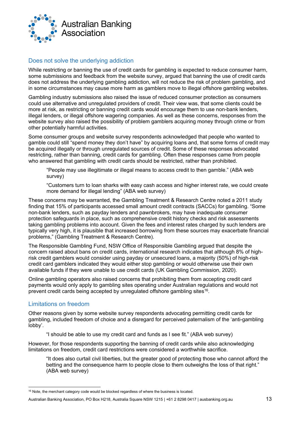

#### <span id="page-13-0"></span>Does not solve the underlying addiction

While restricting or banning the use of credit cards for gambling is expected to reduce consumer harm, some submissions and feedback from the website survey, argued that banning the use of credit cards does not address the underlying gambling addiction, will not reduce the risk of problem gambling, and in some circumstances may cause more harm as gamblers move to illegal offshore gambling websites.

Gambling industry submissions also raised the issue of reduced consumer protection as consumers could use alternative and unregulated providers of credit. Their view was, that some clients could be more at risk, as restricting or banning credit cards would encourage them to use non-bank lenders, illegal lenders, or illegal offshore wagering companies. As well as these concerns, responses from the website survey also raised the possibility of problem gamblers acquiring money through crime or from other potentially harmful activities.

Some consumer groups and website survey respondents acknowledged that people who wanted to gamble could still "spend money they don't have" by acquiring loans and, that some forms of credit may be acquired illegally or through unregulated sources of credit. Some of these responses advocated restricting, rather than banning, credit cards for gambling. Often these responses came from people who answered that gambling with credit cards should be restricted, rather than prohibited.

"People may use illegitimate or illegal means to access credit to then gamble." (ABA web survey)

"Customers turn to loan sharks with easy cash access and higher interest rate, we could create more demand for illegal lending" (ABA web survey)

These concerns may be warranted, the Gambling Treatment & Research Centre noted a 2011 study finding that 15% of participants accessed small amount credit contracts (SACCs) for gambling. "Some non-bank lenders, such as payday lenders and pawnbrokers, may have inadequate consumer protection safeguards in place, such as comprehensive credit history checks and risk assessments taking gambling problems into account. Given the fees and interest rates charged by such lenders are typically very high, it is plausible that increased borrowing from these sources may exacerbate financial problems," (Gambling Treatment & Research Centre).

The Responsible Gambling Fund, NSW Office of Responsible Gambling argued that despite the concern raised about bans on credit cards, international research indicates that although 8% of highrisk credit gamblers would consider using payday or unsecured loans, a majority (50%) of high-risk credit card gamblers indicated they would either stop gambling or would otherwise use their own available funds if they were unable to use credit cards (UK Gambling Commission, 2020).

Online gambling operators also raised concerns that prohibiting them from accepting credit card payments would only apply to gambling sites operating under Australian regulations and would not prevent credit cards being accepted by unregulated offshore gambling sites<sup>[16](#page-13-2)</sup>.

#### <span id="page-13-1"></span>Limitations on freedom

Other reasons given by some website survey respondents advocating permitting credit cards for gambling, included freedom of choice and a disregard for perceived paternalism of the 'anti-gambling lobby'.

"I should be able to use my credit card and funds as I see fit." (ABA web survey)

However, for those respondents supporting the banning of credit cards while also acknowledging limitations on freedom, credit card restrictions were considered a worthwhile sacrifice.

"It does also curtail civil liberties, but the greater good of protecting those who cannot afford the betting and the consequence harm to people close to them outweighs the loss of that right." (ABA web survey)

<span id="page-13-2"></span><sup>&</sup>lt;sup>16</sup> Note, the merchant category code would be blocked regardless of where the business is located.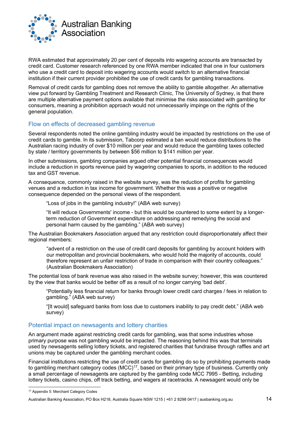

RWA estimated that approximately 20 per cent of deposits into wagering accounts are transacted by credit card. Customer research referenced by one RWA member indicated that one in four customers who use a credit card to deposit into wagering accounts would switch to an alternative financial institution if their current provider prohibited the use of credit cards for gambling transactions.

Removal of credit cards for gambling does not remove the ability to gamble altogether. An alternative view put forward by Gambling Treatment and Research Clinic, The University of Sydney, is that there are multiple alternative payment options available that minimise the risks associated with gambling for consumers, meaning a prohibition approach would not unnecessarily impinge on the rights of the general population.

#### <span id="page-14-0"></span>Flow on effects of decreased gambling revenue

Several respondents noted the online gambling industry would be impacted by restrictions on the use of credit cards to gamble. In its submission, Tabcorp estimated a ban would reduce distributions to the Australian racing industry of over \$10 million per year and would reduce the gambling taxes collected by state / territory governments by between \$56 million to \$141 million per year.

In other submissions, gambling companies argued other potential financial consequences would include a reduction in sports revenue paid by wagering companies to sports, in addition to the reduced tax and GST revenue.

A consequence, commonly raised in the website survey, was the reduction of profits for gambling venues and a reduction in tax income for government. Whether this was a positive or negative consequence depended on the personal views of the respondent.

"Loss of jobs in the gambling industry!" (ABA web survey)

"It will reduce Governments' income - but this would be countered to some extent by a longerterm reduction of Government expenditure on addressing and remedying the social and personal harm caused by the gambling." (ABA web survey)

The Australian Bookmakers Association argued that any restriction could disproportionately affect their regional members:

"advent of a restriction on the use of credit card deposits for gambling by account holders with our metropolitan and provincial bookmakers, who would hold the majority of accounts, could therefore represent an unfair restriction of trade in comparison with their country colleagues." (Australian Bookmakers Association)

The potential loss of bank revenue was also raised in the website survey; however, this was countered by the view that banks would be better off as a result of no longer carrying 'bad debt'.

"Potentially less financial return for banks through lower credit card charges / fees in relation to gambling." (ABA web survey)

"[It would] safeguard banks from loss due to customers inability to pay credit debt." (ABA web survey)

#### <span id="page-14-1"></span>Potential impact on newsagents and lottery charities

An argument made against restricting credit cards for gambling, was that some industries whose primary purpose was not gambling would be impacted. The reasoning behind this was that terminals used by newsagents selling lottery tickets, and registered charities that fundraise through raffles and art unions may be captured under the gambling merchant codes.

Financial institutions restricting the use of credit cards for gambling do so by prohibiting payments made to gambling merchant category codes (MCC)<sup>17</sup>, based on their primary type of business. Currently only a small percentage of newsagents are captured by the gambling code MCC 7995 - Betting, including lottery tickets, casino chips, off track betting, and wagers at racetracks. A newsagent would only be

<span id="page-14-2"></span><sup>17</sup> Appendix 5: Merchant Category Codes

Australian Banking Association, PO Box H218, Australia Square NSW 1215 | +61 2 8298 0417 | ausbanking.org.au 14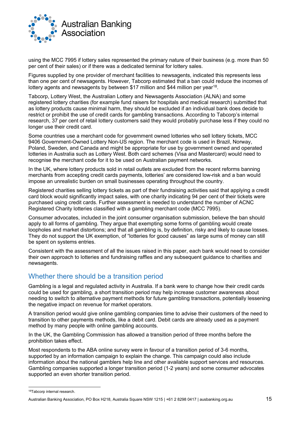

using the MCC 7995 if lottery sales represented the primary nature of their business (e.g. more than 50 per cent of their sales) or if there was a dedicated terminal for lottery sales.

Figures supplied by one provider of merchant facilities to newsagents, indicated this represents less than one per cent of newsagents. However, Tabcorp estimated that a ban could reduce the incomes of lottery agents and newsagents by between \$17 million and \$44 million per yea[r18](#page-15-1).

Tabcorp, Lottery West, the Australian Lottery and Newsagents Association (ALNA) and some registered lottery charities (for example fund raisers for hospitals and medical research) submitted that as lottery products cause minimal harm, they should be excluded if an individual bank does decide to restrict or prohibit the use of credit cards for gambling transactions. According to Tabcorp's internal research, 37 per cent of retail lottery customers said they would probably purchase less if they could no longer use their credit card.

Some countries use a merchant code for government owned lotteries who sell lottery tickets, MCC 9406 Government-Owned Lottery Non-US region. The merchant code is used in Brazil, Norway, Poland, Sweden, and Canada and might be appropriate for use by government owned and operated lotteries in Australia such as Lottery West. Both card schemes (Visa and Mastercard) would need to recognise the merchant code for it to be used on Australian payment networks.

In the UK, where lottery products sold in retail outlets are excluded from the recent reforms banning merchants from accepting credit cards payments, lotteries' are considered low-risk and a ban would impose an unrealistic burden on small businesses operating throughout the country.

Registered charities selling lottery tickets as part of their fundraising activities said that applying a credit card block would significantly impact sales, with one charity indicating 94 per cent of their tickets were purchased using credit cards. Further assessment is needed to understand the number of ACNC Registered Charity lotteries classified with a gambling merchant code (MCC 7995).

Consumer advocates, included in the joint consumer organisation submission, believe the ban should apply to all forms of gambling. They argue that exempting some forms of gambling would create loopholes and market distortions; and that all gambling is, by definition, risky and likely to cause losses. They do not support the UK exemption, of "lotteries for good causes" as large sums of money can still be spent on systems entries.

Consistent with the assessment of all the issues raised in this paper, each bank would need to consider their own approach to lotteries and fundraising raffles and any subsequent guidance to charities and newsagents.

### <span id="page-15-0"></span>Whether there should be a transition period

Gambling is a legal and regulated activity in Australia. If a bank were to change how their credit cards could be used for gambling, a short transition period may help increase customer awareness about needing to switch to alternative payment methods for future gambling transactions, potentially lessening the negative impact on revenue for market operators.

A transition period would give online gambling companies time to advise their customers of the need to transition to other payments methods, like a debit card. Debit cards are already used as a payment method by many people with online gambling accounts.

In the UK, the Gambling Commission has allowed a transition period of three months before the prohibition takes effect.

Most respondents to the ABA online survey were in favour of a transition period of 3-6 months, supported by an information campaign to explain the change. This campaign could also include information about the national gamblers help line and other available support services and resources. Gambling companies supported a longer transition period (1-2 years) and some consumer advocates supported an even shorter transition period.

<span id="page-15-1"></span><sup>18</sup>Tabcorp internal research.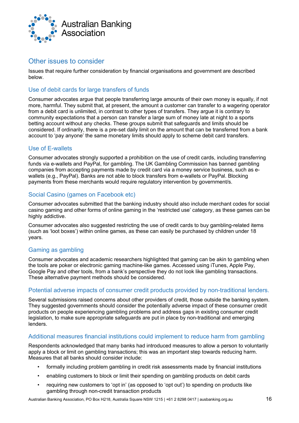

#### <span id="page-16-0"></span>Other issues to consider

Issues that require further consideration by financial organisations and government are described below.

#### <span id="page-16-1"></span>Use of debit cards for large transfers of funds

Consumer advocates argue that people transferring large amounts of their own money is equally, if not more, harmful. They submit that, at present, the amount a customer can transfer to a wagering operator from a debit card is unlimited, in contrast to other types of transfers. They argue it is contrary to community expectations that a person can transfer a large sum of money late at night to a sports betting account without any checks. These groups submit that safeguards and limits should be considered. If ordinarily, there is a pre-set daily limit on the amount that can be transferred from a bank account to 'pay anyone' the same monetary limits should apply to scheme debit card transfers.

#### <span id="page-16-2"></span>Use of E-wallets

Consumer advocates strongly supported a prohibition on the use of credit cards, including transferring funds via e-wallets and PayPal, for gambling. The UK Gambling Commission has banned gambling companies from accepting payments made by credit card via a money service business, such as ewallets (e.g., PayPal). Banks are not able to block transfers from e-wallets or PayPal. Blocking payments from these merchants would require regulatory intervention by government/s.

#### <span id="page-16-3"></span>Social Casino (games on Facebook etc)

Consumer advocates submitted that the banking industry should also include merchant codes for social casino gaming and other forms of online gaming in the 'restricted use' category, as these games can be highly addictive.

Consumer advocates also suggested restricting the use of credit cards to buy gambling-related items (such as 'loot boxes') within online games, as these can easily be purchased by children under 18 years.

#### <span id="page-16-4"></span>Gaming as gambling

Consumer advocates and academic researchers highlighted that gaming can be akin to gambling when the tools are poker or electronic gaming machine-like games. Accessed using iTunes, Apple Pay, Google Pay and other tools, from a bank's perspective they do not look like gambling transactions. These alternative payment methods should be considered.

#### <span id="page-16-5"></span>Potential adverse impacts of consumer credit products provided by non-traditional lenders.

Several submissions raised concerns about other providers of credit, those outside the banking system. They suggested governments should consider the potentially adverse impact of these consumer credit products on people experiencing gambling problems and address gaps in existing consumer credit legislation, to make sure appropriate safeguards are put in place by non-traditional and emerging lenders.

#### <span id="page-16-6"></span>Additional measures financial institutions could implement to reduce harm from gambling

Respondents acknowledged that many banks had introduced measures to allow a person to voluntarily apply a block or limit on gambling transactions; this was an important step towards reducing harm. Measures that all banks should consider include:

- formally including problem gambling in credit risk assessments made by financial institutions
- enabling customers to block or limit their spending on gambling products on debit cards
- requiring new customers to 'opt in' (as opposed to 'opt out') to spending on products like gambling through non-credit transaction products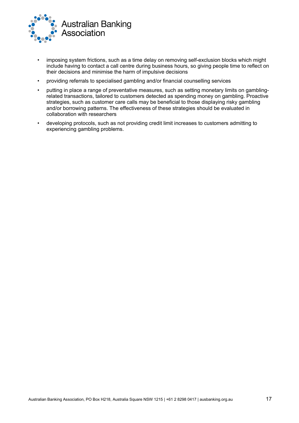

- imposing system frictions, such as a time delay on removing self-exclusion blocks which might include having to contact a call centre during business hours, so giving people time to reflect on their decisions and minimise the harm of impulsive decisions
- providing referrals to specialised gambling and/or financial counselling services
- putting in place a range of preventative measures, such as setting monetary limits on gamblingrelated transactions, tailored to customers detected as spending money on gambling. Proactive strategies, such as customer care calls may be beneficial to those displaying risky gambling and/or borrowing patterns. The effectiveness of these strategies should be evaluated in collaboration with researchers
- developing protocols, such as not providing credit limit increases to customers admitting to experiencing gambling problems.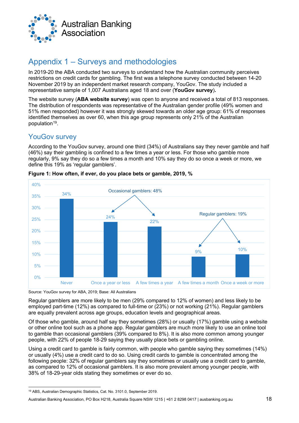

# <span id="page-18-0"></span>Appendix 1 – Surveys and methodologies

In 2019-20 the ABA conducted two surveys to understand how the Australian community perceives restrictions on credit cards for gambling. The first was a telephone survey conducted between 14-20 November 2019 by an independent market research company, YouGov. The study included a representative sample of 1,007 Australians aged 18 and over (**YouGov survey**)**.**

The website survey (**ABA website survey**) was open to anyone and received a total of 813 responses. The distribution of respondents was representative of the Australian gender profile (49% women and 51% men responded) however it was strongly skewed towards an older age group: 61% of responses identified themselves as over 60, when this age group represents only 21% of the Australian population<sup>[19](#page-18-2)</sup>.

# <span id="page-18-1"></span>YouGov survey

According to the YouGov survey, around one third (34%) of Australians say they never gamble and half (46%) say their gambling is confined to a few times a year or less. For those who gamble more regularly, 9% say they do so a few times a month and 10% say they do so once a week or more, we define this 19% as 'regular gamblers'.



**Figure 1: How often, if ever, do you place bets or gamble, 2019, %**

Source: YouGov survey for ABA, 2019; Base: All Australians

Regular gamblers are more likely to be men (29% compared to 12% of women) and less likely to be employed part-time (12%) as compared to full-time or (23%) or not working (21%). Regular gamblers are equally prevalent across age groups, education levels and geographical areas.

Of those who gamble, around half say they sometimes (28%) or usually (17%) gamble using a website or other online tool such as a phone app. Regular gamblers are much more likely to use an online tool to gamble than occasional gamblers (39% compared to 8%). It is also more common among younger people, with 22% of people 18-29 saying they usually place bets or gambling online.

Using a credit card to gamble is fairly common, with people who gamble saying they sometimes (14%) or usually (4%) use a credit card to do so. Using credit cards to gamble is concentrated among the following people: 32% of regular gamblers say they sometimes or usually use a credit card to gamble. as compared to 12% of occasional gamblers. It is also more prevalent among younger people, with 38% of 18-29-year olds stating they sometimes or ever do so.

<span id="page-18-2"></span><sup>19</sup> ABS, Australian Demographic Statistics, Cat. No. 3101.0, September 2019.

Australian Banking Association, PO Box H218, Australia Square NSW 1215 | +61 2 8298 0417 | ausbanking.org.au 18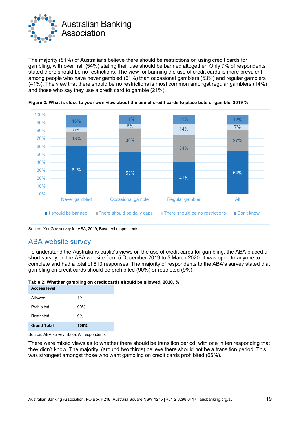

The majority (81%) of Australians believe there should be restrictions on using credit cards for gambling, with over half (54%) stating their use should be banned altogether. Only 7% of respondents stated there should be no restrictions. The view for banning the use of credit cards is more prevalent among people who have never gambled (61%) than occasional gamblers (53%) and regular gamblers (41%). The view that there should be no restrictions is most common amongst regular gamblers (14%) and those who say they use a credit card to gamble (21%).



**Figure 2: What is close to your own view about the use of credit cards to place bets or gamble, 2019 %**

Source: YouGov survey for ABA, 2019; Base: All respondents

### <span id="page-19-0"></span>ABA website survey

To understand the Australians public's views on the use of credit cards for gambling, the ABA placed a short survey on the ABA website from 5 December 2019 to 5 March 2020. It was open to anyone to complete and had a total of 813 responses. The majority of respondents to the ABA's survey stated that gambling on credit cards should be prohibited (90%) or restricted (9%).

**Table 2: Whether gambling on credit cards should be allowed, 2020, %**

| <b>Access level</b> |      |
|---------------------|------|
| Allowed             | 1%   |
| Prohibited          | 90%  |
| Restricted          | 9%   |
| <b>Grand Total</b>  | 100% |

Source: ABA survey; Base: All respondents

There were mixed views as to whether there should be transition period, with one in ten responding that they didn't know. The majority, (around two thirds) believe there should not be a transition period. This was strongest amongst those who want gambling on credit cards prohibited (66%).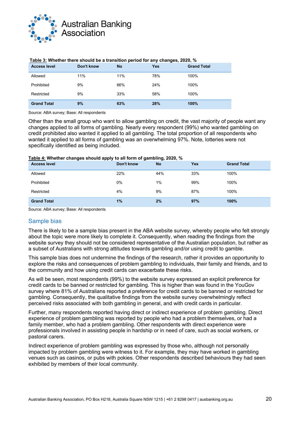

| <b>Access level</b> | Don't know | <b>No</b> | <b>Yes</b> | <b>Grand Total</b> |
|---------------------|------------|-----------|------------|--------------------|
| Allowed             | 11%        | 11%       | 78%        | 100%               |
| Prohibited          | 9%         | 66%       | 24%        | 100%               |
| Restricted          | 9%         | 33%       | 58%        | 100%               |
| <b>Grand Total</b>  | 9%         | 63%       | 28%        | 100%               |

#### **Table 3: Whether there should be a transition period for any changes, 2020, %**

Source: ABA survey; Base: All respondents

Other than the small group who want to allow gambling on credit, the vast majority of people want any changes applied to all forms of gambling. Nearly every respondent (99%) who wanted gambling on credit prohibited also wanted it applied to all gambling. The total proportion of all respondents who wanted it applied to all forms of gambling was an overwhelming 97%. Note, lotteries were not specifically identified as being included.

#### **Table 4: Whether changes should apply to all form of gambling, 2020, %**

| <b>Access level</b> | Don't know | <b>No</b> | Yes | <b>Grand Total</b> |
|---------------------|------------|-----------|-----|--------------------|
| Allowed             | 22%        | 44%       | 33% | 100%               |
| Prohibited          | $0\%$      | 1%        | 99% | 100%               |
| Restricted          | 4%         | 9%        | 87% | 100%               |
| <b>Grand Total</b>  | 1%         | 2%        | 97% | 100%               |

Source: ABA survey; Base: All respondents

#### <span id="page-20-0"></span>Sample bias

There is likely to be a sample bias present in the ABA website survey, whereby people who felt strongly about the topic were more likely to complete it. Consequently, when reading the findings from the website survey they should not be considered representative of the Australian population, but rather as a subset of Australians with strong attitudes towards gambling and/or using credit to gamble.

This sample bias does not undermine the findings of the research, rather it provides an opportunity to explore the risks and consequences of problem gambling to individuals, their family and friends, and to the community and how using credit cards can exacerbate these risks.

As will be seen, most respondents (99%) to the website survey expressed an explicit preference for credit cards to be banned or restricted for gambling. This is higher than was found in the YouGov survey where 81% of Australians reported a preference for credit cards to be banned or restricted for gambling. Consequently, the qualitative findings from the website survey overwhelmingly reflect perceived risks associated with both gambling in general, and with credit cards in particular.

Further, many respondents reported having direct or indirect experience of problem gambling. Direct experience of problem gambling was reported by people who had a problem themselves, or had a family member, who had a problem gambling. Other respondents with direct experience were professionals involved in assisting people in hardship or in need of care, such as social workers, or pastoral carers.

Indirect experience of problem gambling was expressed by those who, although not personally impacted by problem gambling were witness to it. For example, they may have worked in gambling venues such as casinos, or pubs with pokies. Other respondents described behaviours they had seen exhibited by members of their local community.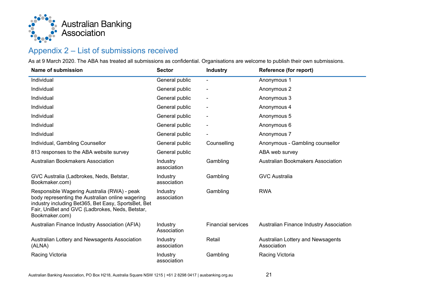

# Appendix 2 – List of submissions received

As at 9 March 2020. The ABA has treated all submissions as confidential. Organisations are welcome to publish their own submissions.

<span id="page-21-0"></span>

| Name of submission                                                                                                                                                                                                          | <b>Sector</b>           | <b>Industry</b>           | Reference (for report)                           |
|-----------------------------------------------------------------------------------------------------------------------------------------------------------------------------------------------------------------------------|-------------------------|---------------------------|--------------------------------------------------|
| Individual                                                                                                                                                                                                                  | General public          |                           | Anonymous 1                                      |
| Individual                                                                                                                                                                                                                  | General public          |                           | Anonymous 2                                      |
| Individual                                                                                                                                                                                                                  | General public          |                           | Anonymous 3                                      |
| Individual                                                                                                                                                                                                                  | General public          |                           | Anonymous 4                                      |
| Individual                                                                                                                                                                                                                  | General public          |                           | Anonymous 5                                      |
| Individual                                                                                                                                                                                                                  | General public          |                           | Anonymous 6                                      |
| Individual                                                                                                                                                                                                                  | General public          |                           | Anonymous 7                                      |
| Individual, Gambling Counsellor                                                                                                                                                                                             | General public          | Counselling               | Anonymous - Gambling counsellor                  |
| 813 responses to the ABA website survey                                                                                                                                                                                     | General public          |                           | ABA web survey                                   |
| <b>Australian Bookmakers Association</b>                                                                                                                                                                                    | Industry<br>association | Gambling                  | Australian Bookmakers Association                |
| GVC Australia (Ladbrokes, Neds, Betstar,<br>Bookmaker.com)                                                                                                                                                                  | Industry<br>association | Gambling                  | <b>GVC Australia</b>                             |
| Responsible Wagering Australia (RWA) - peak<br>body representing the Australian online wagering<br>industry including Bet365, Bet Easy, SportsBet, Bet<br>Fair, UniBet and GVC (Ladbrokes, Neds, Betstar,<br>Bookmaker.com) | Industry<br>association | Gambling                  | <b>RWA</b>                                       |
| Australian Finance Industry Association (AFIA)                                                                                                                                                                              | Industry<br>Association | <b>Financial services</b> | Australian Finance Industry Association          |
| Australian Lottery and Newsagents Association<br>(ALNA)                                                                                                                                                                     | Industry<br>association | Retail                    | Australian Lottery and Newsagents<br>Association |
| Racing Victoria                                                                                                                                                                                                             | Industry<br>association | Gambling                  | Racing Victoria                                  |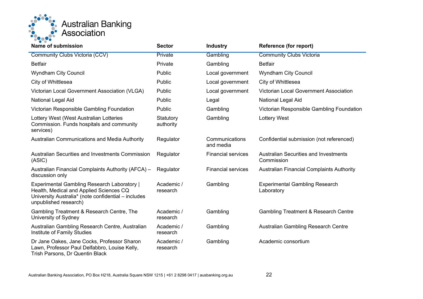

| Name of submission                                                                                                                                                            | <b>Sector</b>          | <b>Industry</b>             | Reference (for report)                                     |
|-------------------------------------------------------------------------------------------------------------------------------------------------------------------------------|------------------------|-----------------------------|------------------------------------------------------------|
| <b>Community Clubs Victoria (CCV)</b>                                                                                                                                         | Private                | Gambling                    | <b>Community Clubs Victoria</b>                            |
| <b>Betfair</b>                                                                                                                                                                | Private                | Gambling                    | <b>Betfair</b>                                             |
| <b>Wyndham City Council</b>                                                                                                                                                   | Public                 | Local government            | <b>Wyndham City Council</b>                                |
| City of Whittlesea                                                                                                                                                            | Public                 | Local government            | City of Whittlesea                                         |
| Victorian Local Government Association (VLGA)                                                                                                                                 | Public                 | Local government            | Victorian Local Government Association                     |
| National Legal Aid                                                                                                                                                            | Public                 | Legal                       | National Legal Aid                                         |
| Victorian Responsible Gambling Foundation                                                                                                                                     | Public                 | Gambling                    | Victorian Responsible Gambling Foundation                  |
| Lottery West (West Australian Lotteries<br>Commission. Funds hospitals and community<br>services)                                                                             | Statutory<br>authority | Gambling                    | <b>Lottery West</b>                                        |
| <b>Australian Communications and Media Authority</b>                                                                                                                          | Regulator              | Communications<br>and media | Confidential submission (not referenced)                   |
| Australian Securities and Investments Commission<br>(ASIC)                                                                                                                    | Regulator              | <b>Financial services</b>   | <b>Australian Securities and Investments</b><br>Commission |
| Australian Financial Complaints Authority (AFCA) -<br>discussion only                                                                                                         | Regulator              | <b>Financial services</b>   | <b>Australian Financial Complaints Authority</b>           |
| <b>Experimental Gambling Research Laboratory  </b><br>Health, Medical and Applied Sciences CQ<br>University Australia* (note confidential - includes<br>unpublished research) | Academic /<br>research | Gambling                    | <b>Experimental Gambling Research</b><br>Laboratory        |
| Gambling Treatment & Research Centre, The<br>University of Sydney                                                                                                             | Academic /<br>research | Gambling                    | <b>Gambling Treatment &amp; Research Centre</b>            |
| Australian Gambling Research Centre, Australian<br>Institute of Family Studies                                                                                                | Academic /<br>research | Gambling                    | Australian Gambling Research Centre                        |
| Dr Jane Oakes, Jane Cocks, Professor Sharon<br>Lawn, Professor Paul Delfabbro, Louise Kelly,<br>Trish Parsons, Dr Quentin Black                                               | Academic /<br>research | Gambling                    | Academic consortium                                        |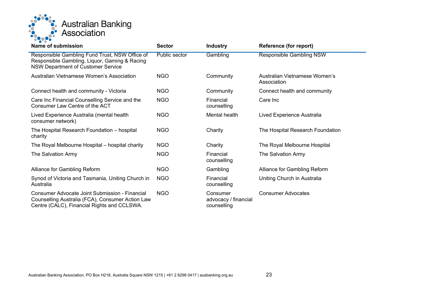

| Name of submission                                                                                                                                       | <b>Sector</b>        | <b>Industry</b>                                 | <b>Reference (for report)</b>                |
|----------------------------------------------------------------------------------------------------------------------------------------------------------|----------------------|-------------------------------------------------|----------------------------------------------|
| Responsible Gambling Fund Trust, NSW Office of<br>Responsible Gambling, Liquor, Gaming & Racing<br><b>NSW Department of Customer Service</b>             | <b>Public sector</b> | Gambling                                        | <b>Responsible Gambling NSW</b>              |
| Australian Vietnamese Women's Association                                                                                                                | <b>NGO</b>           | Community                                       | Australian Vietnamese Women's<br>Association |
| Connect health and community - Victoria                                                                                                                  | <b>NGO</b>           | Community                                       | Connect health and community                 |
| Care Inc Financial Counselling Service and the<br>Consumer Law Centre of the ACT                                                                         | <b>NGO</b>           | Financial<br>counselling                        | Care Inc                                     |
| Lived Experience Australia (mental health<br>consumer network)                                                                                           | <b>NGO</b>           | Mental health                                   | Lived Experience Australia                   |
| The Hospital Research Foundation - hospital<br>charity                                                                                                   | <b>NGO</b>           | Charity                                         | The Hospital Research Foundation             |
| The Royal Melbourne Hospital - hospital charity                                                                                                          | <b>NGO</b>           | Charity                                         | The Royal Melbourne Hospital                 |
| The Salvation Army                                                                                                                                       | <b>NGO</b>           | Financial<br>counselling                        | The Salvation Army                           |
| Alliance for Gambling Reform                                                                                                                             | <b>NGO</b>           | Gambling                                        | Alliance for Gambling Reform                 |
| Synod of Victoria and Tasmania, Uniting Church in<br>Australia                                                                                           | <b>NGO</b>           | Financial<br>counselling                        | Uniting Church in Australia                  |
| <b>Consumer Advocate Joint Submission - Financial</b><br>Counselling Australia (FCA), Consumer Action Law<br>Centre (CALC), Financial Rights and CCLSWA. | <b>NGO</b>           | Consumer<br>advocacy / financial<br>counselling | <b>Consumer Advocates</b>                    |
|                                                                                                                                                          |                      |                                                 |                                              |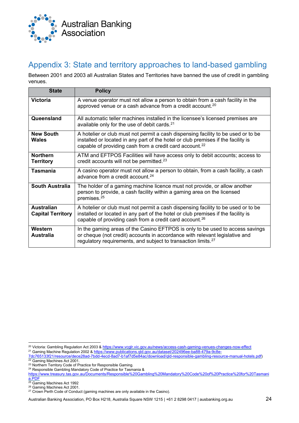

# <span id="page-24-0"></span>Appendix 3: State and territory approaches to land-based gambling

Between 2001 and 2003 all Australian States and Territories have banned the use of credit in gambling venues.

| <b>State</b>                                  | <b>Policy</b>                                                                                                                                                                                                                                 |
|-----------------------------------------------|-----------------------------------------------------------------------------------------------------------------------------------------------------------------------------------------------------------------------------------------------|
| <b>Victoria</b>                               | A venue operator must not allow a person to obtain from a cash facility in the<br>approved venue or a cash advance from a credit account. <sup>20</sup>                                                                                       |
| Queensland                                    | All automatic teller machines installed in the licensee's licensed premises are<br>available only for the use of debit cards. <sup>21</sup>                                                                                                   |
| <b>New South</b><br>Wales                     | A hotelier or club must not permit a cash dispensing facility to be used or to be<br>installed or located in any part of the hotel or club premises if the facility is<br>capable of providing cash from a credit card account. <sup>22</sup> |
| <b>Northern</b><br><b>Territory</b>           | ATM and EFTPOS Facilities will have access only to debit accounts; access to<br>credit accounts will not be permitted. <sup>23</sup>                                                                                                          |
| <b>Tasmania</b>                               | A casino operator must not allow a person to obtain, from a cash facility, a cash<br>advance from a credit account. <sup>24</sup>                                                                                                             |
| <b>South Australia</b>                        | The holder of a gaming machine licence must not provide, or allow another<br>person to provide, a cash facility within a gaming area on the licensed<br>premises. <sup>25</sup>                                                               |
| <b>Australian</b><br><b>Capital Territory</b> | A hotelier or club must not permit a cash dispensing facility to be used or to be<br>installed or located in any part of the hotel or club premises if the facility is<br>capable of providing cash from a credit card account. <sup>26</sup> |
| Western<br><b>Australia</b>                   | In the gaming areas of the Casino EFTPOS is only to be used to access savings<br>or cheque (not credit) accounts in accordance with relevant legislative and<br>regulatory requirements, and subject to transaction limits. <sup>27</sup>     |

<span id="page-24-1"></span><sup>&</sup>lt;sup>20</sup> Victoria: Gambling Regulation Act 2003 [& https://www.vcglr.vic.gov.au/news/access-cash-gaming-venues-changes-now-effect](https://aus01.safelinks.protection.outlook.com/?url=https%3A%2F%2Fwww.vcglr.vic.gov.au%2Fnews%2Faccess-cash-gaming-venues-changes-now-effect&data=01%7C01%7CMichelle.Jakubauskas%40ausbanking.org.au%7C8c870010a3aa4eccd09b08d767138d88%7C12c2873f08a744659e67ce07df6dd581%7C1&sdata=nU4AuC2%2BPEvi2MpfTdnycwv2cXpf3A1JUvgLxg9waGc%3D&reserved=0)

<span id="page-24-2"></span><sup>21</sup> Gaming Machine Regulation 2002 & [https://www.publications.qld.gov.au/dataset/202496ee-ba88-479a-9c8e-](https://aus01.safelinks.protection.outlook.com/?url=https%3A%2F%2Fwww.publications.qld.gov.au%2Fdataset%2F202496ee-ba88-479a-9c8e-7dc765133f21%2Fresource%2Fdece28ad-7bdd-4ecd-8ad7-b1af7d5e84ac%2Fdownload%2Fqld-responsible-gambling-resource-manual-hotels.pdf&data=01%7C01%7CMichelle.Jakubauskas%40ausbanking.org.au%7C8c870010a3aa4eccd09b08d767138d88%7C12c2873f08a744659e67ce07df6dd581%7C1&sdata=9MGZ%2BUWGrSgGN%2BqX%2Broxjswx93wbj2LHOlMPauclTso%3D&reserved=0)

[<sup>7</sup>dc765133f21/resource/dece28ad-7bdd-4ecd-8ad7-b1af7d5e84ac/download/qld-responsible-gambling-resource-manual-hotels.pdf\)](https://aus01.safelinks.protection.outlook.com/?url=https%3A%2F%2Fwww.publications.qld.gov.au%2Fdataset%2F202496ee-ba88-479a-9c8e-7dc765133f21%2Fresource%2Fdece28ad-7bdd-4ecd-8ad7-b1af7d5e84ac%2Fdownload%2Fqld-responsible-gambling-resource-manual-hotels.pdf&data=01%7C01%7CMichelle.Jakubauskas%40ausbanking.org.au%7C8c870010a3aa4eccd09b08d767138d88%7C12c2873f08a744659e67ce07df6dd581%7C1&sdata=9MGZ%2BUWGrSgGN%2BqX%2Broxjswx93wbj2LHOlMPauclTso%3D&reserved=0) <sup>22</sup> Gaming Machines Act 2001.

<span id="page-24-4"></span><span id="page-24-3"></span><sup>23</sup> Northern Territory Code of Practice for Responsible Gaming.

<span id="page-24-5"></span><sup>24</sup> Responsible Gambling Mandatory Code of Practice for Tasmania &

[https://www.treasury.tas.gov.au/Documents/Responsible%20Gambling%20Mandatory%20Code%20of%20Practice%20for%20Tasmani](https://www.treasury.tas.gov.au/Documents/Responsible%20Gambling%20Mandatory%20Code%20of%20Practice%20for%20Tasmania.PDF) [a.PDF](https://www.treasury.tas.gov.au/Documents/Responsible%20Gambling%20Mandatory%20Code%20of%20Practice%20for%20Tasmania.PDF)

<span id="page-24-6"></span><sup>&</sup>lt;sup>25</sup> Gaming Machines Act 1992

<span id="page-24-7"></span><sup>&</sup>lt;sup>26</sup> Gaming Machines Act 2001.

<span id="page-24-8"></span> $27$  Crown Perth Code of Conduct (gaming machines are only available in the Casino).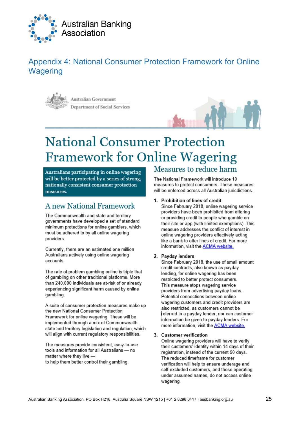

# <span id="page-25-0"></span>Appendix 4: National Consumer Protection Framework for Online **Wagering**



**Australian Government Department of Social Services** 



# **National Consumer Protection Framework for Online Wagering**

Australians participating in online wagering will be better protected by a series of strong, nationally consistent consumer protection measures.

# **A new National Framework**

The Commonwealth and state and territory governments have developed a set of standard minimum protections for online gamblers, which must be adhered to by all online wagering providers.

Currently, there are an estimated one million Australians actively using online wagering accounts.

The rate of problem gambling online is triple that of gambling on other traditional platforms. More than 240,000 individuals are at-risk of or already experiencing significant harm caused by online gambling.

A suite of consumer protection measures make up the new National Consumer Protection Framework for online wagering. These will be implemented through a mix of Commonwealth. state and territory legislation and regulation, which will align with current regulatory responsibilities.

The measures provide consistent, easy-to-use tools and information for all Australians - no matter where they live -

to help them better control their gambling.

# Measures to reduce harm

The National Framework will introduce 10 measures to protect consumers. These measures will be enforced across all Australian jurisdictions.

#### 1. Prohibition of lines of credit

Since February 2018, online wagering service providers have been prohibited from offering or providing credit to people who gamble on their site or app (with limited exemptions). This measure addresses the conflict of interest in online wagering providers effectively acting like a bank to offer lines of credit. For more information, visit the **ACMA** website.

#### 2. Pavdav lenders

Since February 2018, the use of small amount credit contracts, also known as payday lending, for online wagering has been restricted to better protect consumers. This measure stops wagering service providers from advertising payday loans. Potential connections between online wagering customers and credit providers are also restricted, as customers cannot be referred to a payday lender, nor can customer information be given to payday lenders. For more information, visit the ACMA website.

#### 3. Customer verification

Online wagering providers will have to verify their customers' identity within 14 days of their registration, instead of the current 90 days. The reduced timeframe for customer verification will help to ensure underage and self-excluded customers, and those operating under assumed names, do not access online wagering.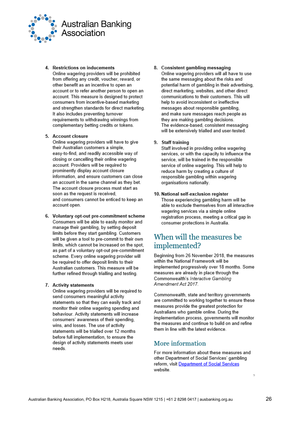

#### 4. Restrictions on inducements

Online wagering providers will be prohibited from offering any credit, voucher, reward, or other benefit as an incentive to open an account or to refer another person to open an account. This measure is designed to protect consumers from incentive-based marketing and strengthen standards for direct marketing. It also includes preventing turnover requirements to withdrawing winnings from complementary betting credits or tokens.

#### 5. Account closure

Online wagering providers will have to give their Australian customers a simple. easy-to-find, and readily accessible way of closing or cancelling their online wagering account. Providers will be required to prominently display account closure information, and ensure customers can close an account in the same channel as they bet. The account closure process must start as soon as the request is received. and consumers cannot be enticed to keep an account open.

6. Voluntary opt-out pre-commitment scheme Consumers will be able to easily monitor and manage their gambling, by setting deposit limits before they start gambling. Customers will be given a tool to pre-commit to their own limits, which cannot be increased on the spot, as part of a voluntary opt-out pre-commitment scheme. Every online wagering provider will be required to offer deposit limits to their Australian customers. This measure will be further refined through trialling and testing.

#### 7. Activity statements

Online wagering providers will be required to send consumers meaningful activity statements so that they can easily track and monitor their online wagering spending and behaviour. Activity statements will increase consumers' awareness of their spending, wins, and losses. The use of activity statements will be trialled over 12 months before full implementation, to ensure the design of activity statements meets user needs.

#### 8. Consistent gambling messaging

Online wagering providers will all have to use the same messaging about the risks and potential harm of gambling in their advertising, direct marketing, websites, and other direct communications to their customers. This will help to avoid inconsistent or ineffective messages about responsible gambling. and make sure messages reach people as they are making gambling decisions. The evidence-based, consistent messaging will be extensively trialled and user-tested.

#### 9. Staff training

Staff involved in providing online wagering services, or with the capacity to influence the service, will be trained in the responsible service of online wagering. This will help to reduce harm by creating a culture of responsible gambling within wagering organisations nationally.

#### 10. National self-exclusion register

Those experiencing gambling harm will be able to exclude themselves from all interactive wagering services via a simple online registration process, meeting a critical gap in consumer protections in Australia.

# When will the measures be implemented?

Beginning from 26 November 2018, the measures within the National Framework will be implemented progressively over 18 months. Some measures are already in place through the Commonwealth's Interactive Gambling Amendment Act 2017.

Commonwealth, state and territory governments are committed to working together to ensure these measures provide the greatest protection for Australians who gamble online. During the implementation process, governments will monitor the measures and continue to build on and refine them in line with the latest evidence

#### More information

For more information about these measures and other Department of Social Services' gambling reform, visit Department of Social Services website.

b